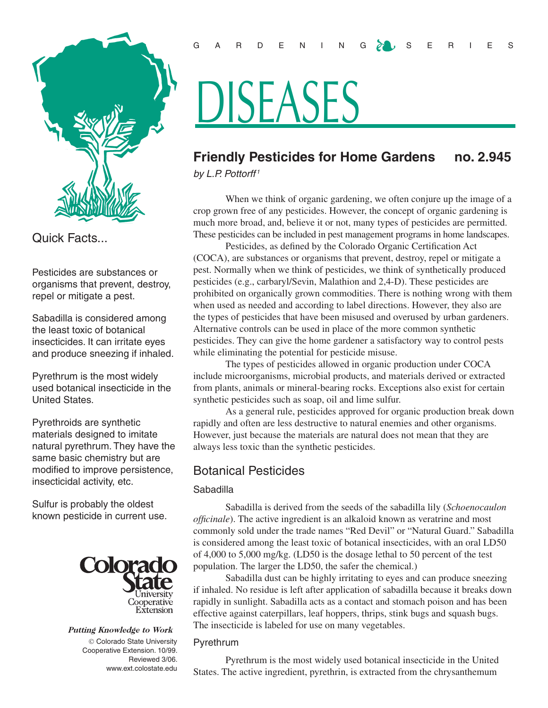

Quick Facts...

Pesticides are substances or organisms that prevent, destroy, repel or mitigate a pest.

Sabadilla is considered among the least toxic of botanical insecticides. It can irritate eyes and produce sneezing if inhaled.

Pyrethrum is the most widely used botanical insecticide in the United States.

Pyrethroids are synthetic materials designed to imitate natural pyrethrum. They have the same basic chemistry but are modified to improve persistence, insecticidal activity, etc.

Sulfur is probably the oldest known pesticide in current use.



# Putting Knowledge to Work

 Colorado State University Cooperative Extension. 10/99. Reviewed 3/06. www.ext.colostate.edu

# GARDENING  $\delta$  USERIES

# DISEASES

# **Friendly Pesticides for Home Gardens no. 2.945**

*by L.P. Pottorff <sup>1</sup>*

When we think of organic gardening, we often conjure up the image of a crop grown free of any pesticides. However, the concept of organic gardening is much more broad, and, believe it or not, many types of pesticides are permitted. These pesticides can be included in pest management programs in home landscapes.

Pesticides, as defined by the Colorado Organic Certification Act (COCA), are substances or organisms that prevent, destroy, repel or mitigate a pest. Normally when we think of pesticides, we think of synthetically produced pesticides (e.g., carbaryl/Sevin, Malathion and 2,4-D). These pesticides are prohibited on organically grown commodities. There is nothing wrong with them when used as needed and according to label directions. However, they also are the types of pesticides that have been misused and overused by urban gardeners. Alternative controls can be used in place of the more common synthetic pesticides. They can give the home gardener a satisfactory way to control pests while eliminating the potential for pesticide misuse.

The types of pesticides allowed in organic production under COCA include microorganisms, microbial products, and materials derived or extracted from plants, animals or mineral-bearing rocks. Exceptions also exist for certain synthetic pesticides such as soap, oil and lime sulfur.

As a general rule, pesticides approved for organic production break down rapidly and often are less destructive to natural enemies and other organisms. However, just because the materials are natural does not mean that they are always less toxic than the synthetic pesticides.

# Botanical Pesticides

# Sabadilla

Sabadilla is derived from the seeds of the sabadilla lily (*Schoenocaulon officinale*). The active ingredient is an alkaloid known as veratrine and most commonly sold under the trade names "Red Devil" or "Natural Guard." Sabadilla is considered among the least toxic of botanical insecticides, with an oral LD50 of 4,000 to 5,000 mg/kg. (LD50 is the dosage lethal to 50 percent of the test population. The larger the LD50, the safer the chemical.)

Sabadilla dust can be highly irritating to eyes and can produce sneezing if inhaled. No residue is left after application of sabadilla because it breaks down rapidly in sunlight. Sabadilla acts as a contact and stomach poison and has been effective against caterpillars, leaf hoppers, thrips, stink bugs and squash bugs. The insecticide is labeled for use on many vegetables.

# Pyrethrum

Pyrethrum is the most widely used botanical insecticide in the United States. The active ingredient, pyrethrin, is extracted from the chrysanthemum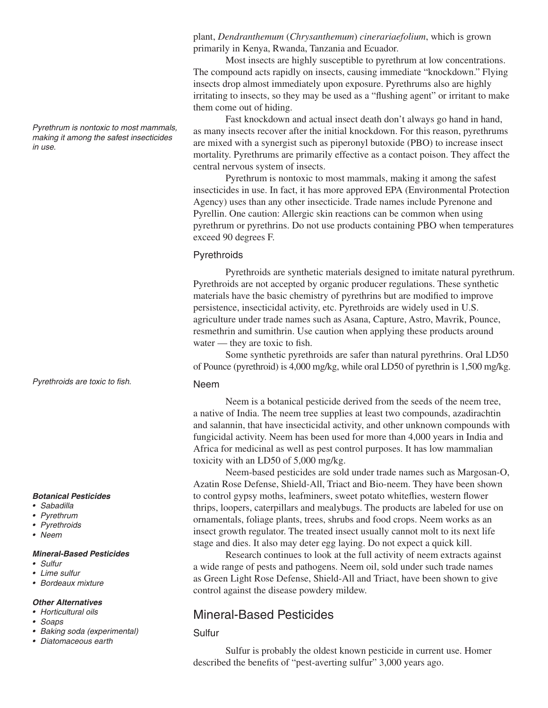*Pyrethrum is nontoxic to most mammals, making it among the safest insecticides in use.*

*Pyrethroids are toxic to fish.*

### *Botanical Pesticides*

- *• Sabadilla*
- *• Pyrethrum*
- *• Pyrethroids*
- *• Neem*

### *Mineral-Based Pesticides*

- *• Sulfur*
- *• Lime sulfur*
- *• Bordeaux mixture*

### *Other Alternatives*

- *• Horticultural oils*
- *• Soaps*
- *• Baking soda (experimental)*
- *• Diatomaceous earth*

plant, *Dendranthemum* (*Chrysanthemum*) *cinerariaefolium*, which is grown primarily in Kenya, Rwanda, Tanzania and Ecuador.

Most insects are highly susceptible to pyrethrum at low concentrations. The compound acts rapidly on insects, causing immediate "knockdown." Flying insects drop almost immediately upon exposure. Pyrethrums also are highly irritating to insects, so they may be used as a "flushing agent" or irritant to make them come out of hiding.

Fast knockdown and actual insect death don't always go hand in hand, as many insects recover after the initial knockdown. For this reason, pyrethrums are mixed with a synergist such as piperonyl butoxide (PBO) to increase insect mortality. Pyrethrums are primarily effective as a contact poison. They affect the central nervous system of insects.

Pyrethrum is nontoxic to most mammals, making it among the safest insecticides in use. In fact, it has more approved EPA (Environmental Protection Agency) uses than any other insecticide. Trade names include Pyrenone and Pyrellin. One caution: Allergic skin reactions can be common when using pyrethrum or pyrethrins. Do not use products containing PBO when temperatures exceed 90 degrees F.

# **Pyrethroids**

Pyrethroids are synthetic materials designed to imitate natural pyrethrum. Pyrethroids are not accepted by organic producer regulations. These synthetic materials have the basic chemistry of pyrethrins but are modified to improve persistence, insecticidal activity, etc. Pyrethroids are widely used in U.S. agriculture under trade names such as Asana, Capture, Astro, Mavrik, Pounce, resmethrin and sumithrin. Use caution when applying these products around water — they are toxic to fish.

Some synthetic pyrethroids are safer than natural pyrethrins. Oral LD50 of Pounce (pyrethroid) is 4,000 mg/kg, while oral LD50 of pyrethrin is 1,500 mg/kg.

# Neem

Neem is a botanical pesticide derived from the seeds of the neem tree, a native of India. The neem tree supplies at least two compounds, azadirachtin and salannin, that have insecticidal activity, and other unknown compounds with fungicidal activity. Neem has been used for more than 4,000 years in India and Africa for medicinal as well as pest control purposes. It has low mammalian toxicity with an LD50 of 5,000 mg/kg.

Neem-based pesticides are sold under trade names such as Margosan-O, Azatin Rose Defense, Shield-All, Triact and Bio-neem. They have been shown to control gypsy moths, leafminers, sweet potato whiteflies, western flower thrips, loopers, caterpillars and mealybugs. The products are labeled for use on ornamentals, foliage plants, trees, shrubs and food crops. Neem works as an insect growth regulator. The treated insect usually cannot molt to its next life stage and dies. It also may deter egg laying. Do not expect a quick kill.

Research continues to look at the full activity of neem extracts against a wide range of pests and pathogens. Neem oil, sold under such trade names as Green Light Rose Defense, Shield-All and Triact, have been shown to give control against the disease powdery mildew.

# Mineral-Based Pesticides

# Sulfur

Sulfur is probably the oldest known pesticide in current use. Homer described the benefits of "pest-averting sulfur" 3,000 years ago.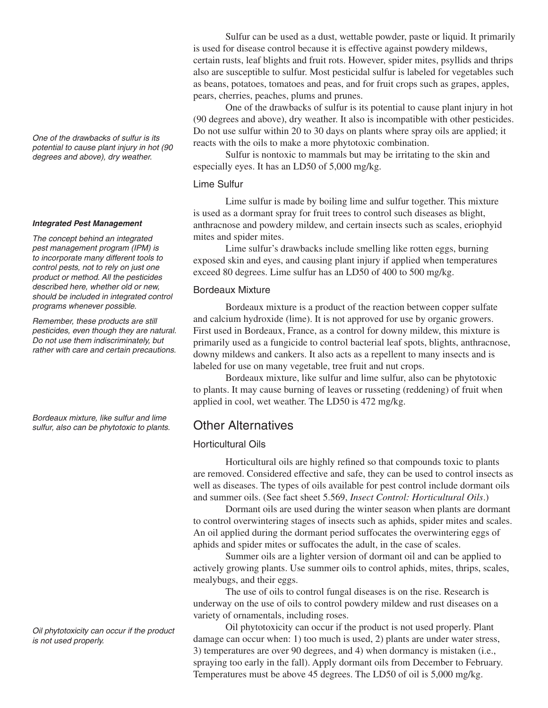*One of the drawbacks of sulfur is its potential to cause plant injury in hot (90 degrees and above), dry weather.*

### *Integrated Pest Management*

*The concept behind an integrated pest management program (IPM) is to incorporate many different tools to control pests, not to rely on just one product or method. All the pesticides described here, whether old or new, should be included in integrated control programs whenever possible.*

*Remember, these products are still pesticides, even though they are natural. Do not use them indiscriminately, but rather with care and certain precautions.* 

*Bordeaux mixture, like sulfur and lime sulfur, also can be phytotoxic to plants.*

*Oil phytotoxicity can occur if the product is not used properly.*

Sulfur can be used as a dust, wettable powder, paste or liquid. It primarily is used for disease control because it is effective against powdery mildews, certain rusts, leaf blights and fruit rots. However, spider mites, psyllids and thrips also are susceptible to sulfur. Most pesticidal sulfur is labeled for vegetables such as beans, potatoes, tomatoes and peas, and for fruit crops such as grapes, apples, pears, cherries, peaches, plums and prunes.

One of the drawbacks of sulfur is its potential to cause plant injury in hot (90 degrees and above), dry weather. It also is incompatible with other pesticides. Do not use sulfur within 20 to 30 days on plants where spray oils are applied; it reacts with the oils to make a more phytotoxic combination.

Sulfur is nontoxic to mammals but may be irritating to the skin and especially eyes. It has an LD50 of 5,000 mg/kg.

# Lime Sulfur

Lime sulfur is made by boiling lime and sulfur together. This mixture is used as a dormant spray for fruit trees to control such diseases as blight, anthracnose and powdery mildew, and certain insects such as scales, eriophyid mites and spider mites.

Lime sulfur's drawbacks include smelling like rotten eggs, burning exposed skin and eyes, and causing plant injury if applied when temperatures exceed 80 degrees. Lime sulfur has an LD50 of 400 to 500 mg/kg.

# Bordeaux Mixture

Bordeaux mixture is a product of the reaction between copper sulfate and calcium hydroxide (lime). It is not approved for use by organic growers. First used in Bordeaux, France, as a control for downy mildew, this mixture is primarily used as a fungicide to control bacterial leaf spots, blights, anthracnose, downy mildews and cankers. It also acts as a repellent to many insects and is labeled for use on many vegetable, tree fruit and nut crops.

Bordeaux mixture, like sulfur and lime sulfur, also can be phytotoxic to plants. It may cause burning of leaves or russeting (reddening) of fruit when applied in cool, wet weather. The LD50 is 472 mg/kg.

# Other Alternatives

# Horticultural Oils

Horticultural oils are highly refined so that compounds toxic to plants are removed. Considered effective and safe, they can be used to control insects as well as diseases. The types of oils available for pest control include dormant oils and summer oils. (See fact sheet 5.569, *Insect Control: Horticultural Oils*.)

Dormant oils are used during the winter season when plants are dormant to control overwintering stages of insects such as aphids, spider mites and scales. An oil applied during the dormant period suffocates the overwintering eggs of aphids and spider mites or suffocates the adult, in the case of scales.

Summer oils are a lighter version of dormant oil and can be applied to actively growing plants. Use summer oils to control aphids, mites, thrips, scales, mealybugs, and their eggs.

The use of oils to control fungal diseases is on the rise. Research is underway on the use of oils to control powdery mildew and rust diseases on a variety of ornamentals, including roses.

Oil phytotoxicity can occur if the product is not used properly. Plant damage can occur when: 1) too much is used, 2) plants are under water stress, 3) temperatures are over 90 degrees, and 4) when dormancy is mistaken (i.e., spraying too early in the fall). Apply dormant oils from December to February. Temperatures must be above 45 degrees. The LD50 of oil is 5,000 mg/kg.